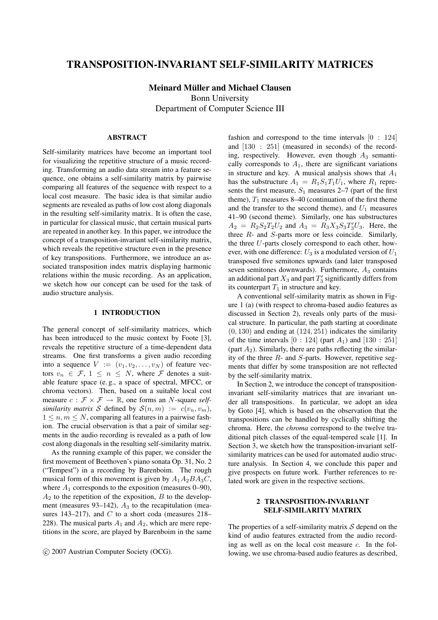# **TRANSPOSITION-INVARIANT SELF-SIMILARITY MATRICES**

**Meinard Müller and Michael Clausen** Bonn University Department of Computer Science III

## **ABSTRACT**

Self-similarity matrices have become an important tool for visualizing the repetitive structure of a music recording. Transforming an audio data stream into a feature sequence, one obtains a self-similarity matrix by pairwise comparing all features of the sequence with respect to a local cost measure. The basic idea is that similar audio segments are revealed as paths of low cost along diagonals in the resulting self-similarity matrix. It is often the case, in particular for classical music, that certain musical parts are repeated in another key. In this paper, we introduce the concept of a transposition-invariant self-similarity matrix, which reveals the repetitive structure even in the presence of key transpositions. Furthermore, we introduce an associated transposition index matrix displaying harmonic relations within the music recording. As an application, we sketch how our concept can be used for the task of audio structure analysis.

## **1 INTRODUCTION**

The general concept of self-similarity matrices, which has been introduced to the music context by Foote [3], reveals the repetitive structure of a time-dependent data streams. One first transforms a given audio recording into a sequence  $V := (v_1, v_2, \dots, v_N)$  of feature vectors  $v_n \in \mathcal{F}, 1 \leq n \leq N$ , where  $\mathcal F$  denotes a suitable feature space (e. g., a space of spectral, MFCC, or chroma vectors). Then, based on a suitable local cost measure  $c : \mathcal{F} \times \mathcal{F} \to \mathbb{R}$ , one forms an *N*-square *selfsimilarity matrix* S defined by  $S(n, m) := c(v_n, v_m)$ ,  $1 \leq n, m \leq N$ , comparing all features in a pairwise fashion. The crucial observation is that a pair of similar segments in the audio recording is revealed as a path of low cost along diagonals in the resulting self-similarity matrix.

As the running example of this paper, we consider the first movement of Beethoven's piano sonata Op. 31, No. 2 ("Tempest") in a recording by Barenboim. The rough musical form of this movement is given by  $A_1A_2BA_3C$ , where  $A_1$  corresponds to the exposition (measures 0–90),  $A_2$  to the repetition of the exposition,  $B$  to the development (measures 93–142),  $A_3$  to the recapitulation (measures 143–217), and  $C$  to a short coda (measures 218– 228). The musical parts  $A_1$  and  $A_2$ , which are mere repetitions in the score, are played by Barenboim in the same

fashion and correspond to the time intervals  $[0: 124]$ and [130 : 251] (measured in seconds) of the recording, respectively. However, even though  $A_3$  semantically corresponds to  $A_1$ , there are significant variations in structure and key. A musical analysis shows that  $A_1$ has the substructure  $A_1 = R_1S_1T_1U_1$ , where  $R_1$  represents the first measure,  $S_1$  measures 2–7 (part of the first theme),  $T_1$  measures 8–40 (continuation of the first theme and the transfer to the second theme), and  $U_1$  measures 41–90 (second theme). Similarly, one has substructures  $A_2 = R_2 S_2 T_2 U_2$  and  $A_3 = R_3 X_3 S_3 T_3' U_3$ . Here, the three R- and S-parts more or less coincide. Similarly, the three U-parts closely correspond to each other, however, with one difference:  $U_3$  is a modulated version of  $U_1$ transposed five semitones upwards (and later transposed seven semitones downwards). Furthermore,  $A_3$  contains an additional part  $X_3$  and part  $T_3^\prime$  significantly differs from its counterpart  $T_1$  in structure and key.

A conventional self-similarity matrix as shown in Figure 1 (a) (with respect to chroma-based audio features as discussed in Section 2), reveals only parts of the musical structure. In particular, the path starting at coordinate  $(0, 130)$  and ending at  $(124, 251)$  indicates the similarity of the time intervals  $[0: 124]$  (part  $A_1$ ) and  $[130: 251]$ (part  $A_2$ ). Similarly, there are paths reflecting the similarity of the three  $R$ - and  $S$ -parts. However, repetitive segments that differ by some transposition are not reflected by the self-similarity matrix.

In Section 2, we introduce the concept of transpositioninvariant self-similarity matrices that are invariant under all transpositions. In particular, we adopt an idea by Goto [4], which is based on the observation that the transpositions can be handled by cyclically shifting the chroma. Here, the *chroma* correspond to the twelve traditional pitch classes of the equal-tempered scale [1]. In Section 3, we sketch how the transposition-invariant selfsimilarity matrices can be used for automated audio structure analysis. In Section 4, we conclude this paper and give prospects on future work. Further references to related work are given in the respective sections.

### **2 TRANSPOSITION-INVARIANT SELF-SIMILARITY MATRIX**

The properties of a self-similarity matrix  $S$  depend on the kind of audio features extracted from the audio recording as well as on the local cost measure c. In the following, we use chroma-based audio features as described,

c 2007 Austrian Computer Society (OCG).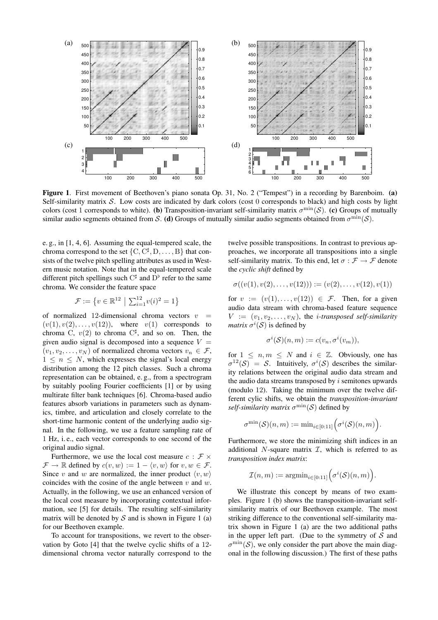

**Figure 1**. First movement of Beethoven's piano sonata Op. 31, No. 2 ("Tempest") in a recording by Barenboim. **(a)** Self-similarity matrix  $S$ . Low costs are indicated by dark colors (cost  $0$  corresponds to black) and high costs by light colors (cost 1 corresponds to white). (b) Transposition-invariant self-similarity matrix  $\sigma^{min}(S)$ . (c) Groups of mutually similar audio segments obtained from S. **(d)** Groups of mutually similar audio segments obtained from  $\sigma^{\min}(\mathcal{S})$ .

e. g., in [1, 4, 6]. Assuming the equal-tempered scale, the chroma correspond to the set  $\{C, C^{\sharp}, D, \dots, B\}$  that consists of the twelve pitch spelling attributes as used in Western music notation. Note that in the equal-tempered scale different pitch spellings such  $C^{\sharp}$  and  $D^{\flat}$  refer to the same chroma. We consider the feature space

$$
\mathcal{F} := \left\{ v \in \mathbb{R}^{12} \; \big| \; \sum_{i=1}^{12} v(i)^2 = 1 \right\}
$$

of normalized 12-dimensional chroma vectors  $v$  $(v(1), v(2), \ldots, v(12))$ , where  $v(1)$  corresponds to chroma C,  $v(2)$  to chroma  $C^{\sharp}$ , and so on. Then, the given audio signal is decomposed into a sequence  $V =$  $(v_1, v_2, \ldots, v_N)$  of normalized chroma vectors  $v_n \in \mathcal{F}$ ,  $1 \leq n \leq N$ , which expresses the signal's local energy distribution among the 12 pitch classes. Such a chroma representation can be obtained, e. g., from a spectrogram by suitably pooling Fourier coefficients [1] or by using multirate filter bank techniques [6]. Chroma-based audio features absorb variations in parameters such as dynamics, timbre, and articulation and closely correlate to the short-time harmonic content of the underlying audio signal. In the following, we use a feature sampling rate of 1 Hz, i. e., each vector corresponds to one second of the original audio signal.

Furthermore, we use the local cost measure  $c : \mathcal{F} \times$  $\mathcal{F} \to \mathbb{R}$  defined by  $c(v, w) := 1 - \langle v, w \rangle$  for  $v, w \in \mathcal{F}$ . Since v and w are normalized, the inner product  $\langle v, w \rangle$ coincides with the cosine of the angle between  $v$  and  $w$ . Actually, in the following, we use an enhanced version of the local cost measure by incorporating contextual information, see [5] for details. The resulting self-similarity matrix will be denoted by  $S$  and is shown in Figure 1 (a) for our Beethoven example.

To account for transpositions, we revert to the observation by Goto [4] that the twelve cyclic shifts of a 12 dimensional chroma vector naturally correspond to the twelve possible transpositions. In contrast to previous approaches, we incorporate all transpositions into a single self-similarity matrix. To this end, let  $\sigma : \mathcal{F} \to \mathcal{F}$  denote the *cyclic shift* defined by

$$
\sigma((v(1), v(2), \ldots, v(12))) := (v(2), \ldots, v(12), v(1))
$$

for  $v := (v(1), \ldots, v(12)) \in \mathcal{F}$ . Then, for a given audio data stream with chroma-based feature sequence  $V := (v_1, v_2, \dots, v_N)$ , the *i*-transposed self-similarity *matrix*  $\sigma^i(S)$  is defined by

$$
\sigma^i(\mathcal{S})(n,m) := c(v_n, \sigma^i(v_m)),
$$

for  $1 \leq n, m \leq N$  and  $i \in \mathbb{Z}$ . Obviously, one has  $\sigma^{12}(\mathcal{S}) = \mathcal{S}$ . Intuitively,  $\sigma^{i}(\mathcal{S})$  describes the similarity relations between the original audio data stream and the audio data streams transposed by  $i$  semitones upwards (modulo 12). Taking the minimum over the twelve different cylic shifts, we obtain the *transposition-invariant*  $self$ -similarity matrix  $\sigma^{\min}(\mathcal{S})$  defined by

$$
\sigma^{\min}(\mathcal{S})(n,m) := \min_{i \in [0:11]} \Big( \sigma^i(\mathcal{S})(n,m) \Big).
$$

Furthermore, we store the minimizing shift indices in an additional  $N$ -square matrix  $\mathcal{I}$ , which is referred to as *transposition index matrix*:

$$
\mathcal{I}(n,m) := \mathrm{argmin}_{i \in [0:11]} \Big( \sigma^i(\mathcal{S})(n,m) \Big).
$$

We illustrate this concept by means of two examples. Figure 1 (b) shows the transposition-invariant selfsimilarity matrix of our Beethoven example. The most striking difference to the conventional self-similarity matrix shown in Figure 1 (a) are the two additional paths in the upper left part. (Due to the symmetry of  $S$  and  $\sigma^{\min}(\mathcal{S})$ , we only consider the part above the main diagonal in the following discussion.) The first of these paths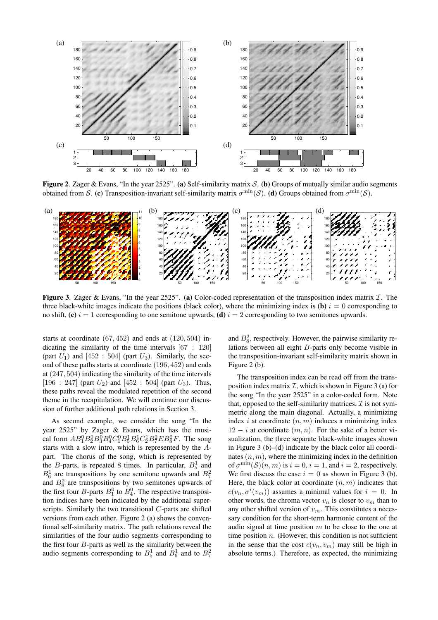

**Figure 2**. Zager & Evans, "In the year 2525". **(a)** Self-similarity matrix S. **(b)** Groups of mutually similar audio segments obtained from S. (c) Transposition-invariant self-similarity matrix  $\sigma^{\min}(\mathcal{S})$ . (d) Groups obtained from  $\sigma^{\min}(\mathcal{S})$ .



**Figure 3.** Zager & Evans, "In the year 2525". (a) Color-coded representation of the transposition index matrix  $I$ . The three black-white images indicate the positions (black color), where the minimizing index is  $(b)$  i = 0 corresponding to no shift, **(c)**  $i = 1$  corresponding to one semitone upwards, **(d)**  $i = 2$  corresponding to two semitones upwards.

starts at coordinate  $(67, 452)$  and ends at  $(120, 504)$  indicating the similarity of the time intervals [67 : 120] (part  $U_1$ ) and [452 : 504] (part  $U_3$ ). Similarly, the second of these paths starts at coordinate (196, 452) and ends at (247, 504) indicating the similarity of the time intervals  $[196 : 247]$  (part  $U_2$ ) and  $[452 : 504]$  (part  $U_3$ ). Thus, these paths reveal the modulated repetition of the second theme in the recapitulation. We will continue our discussion of further additional path relations in Section 3.

As second example, we consider the song "In the year 2525" by Zager & Evans, which has the musical form  $AB_1^0B_2^0B_3^0B_4^0C_1^0B_5^1B_6^1C_2^1B_7^2EB_8^2F$ . The song starts with a slow intro, which is represented by the Apart. The chorus of the song, which is represented by the *B*-parts, is repeated 8 times. In particular,  $B_5^1$  and  $B_6^1$  are transpositions by one semitone upwards and  $B_7^2$ and  $B_8^2$  are transpositions by two semitones upwards of the first four *B*-parts  $B_1^0$  to  $B_4^0$ . The respective transposition indices have been indicated by the additional superscripts. Similarly the two transitional C-parts are shifted versions from each other. Figure 2 (a) shows the conventional self-similarity matrix. The path relations reveal the similarities of the four audio segments corresponding to the first four  $B$ -parts as well as the similarity between the audio segments corresponding to  $B_5^1$  and  $B_6^1$  and to  $B_7^2$ 

and  $B_8^2$ , respectively. However, the pairwise similarity relations between all eight B-parts only become visible in the transposition-invariant self-similarity matrix shown in Figure 2 (b).

The transposition index can be read off from the transposition index matrix  $\mathcal I$ , which is shown in Figure 3 (a) for the song "In the year 2525" in a color-coded form. Note that, opposed to the self-similarity matrices,  $\mathcal I$  is not symmetric along the main diagonal. Actually, a minimizing index i at coordinate  $(n, m)$  induces a minimizing index  $12 - i$  at coordinate  $(m, n)$ . For the sake of a better visualization, the three separate black-white images shown in Figure 3 (b)–(d) indicate by the black color all coordinates  $(n, m)$ , where the minimizing index in the definition of  $\sigma^{\min}(\mathcal{S})(n,m)$  is  $i = 0$ ,  $i = 1$ , and  $i = 2$ , respectively. We first discuss the case  $i = 0$  as shown in Figure 3 (b). Here, the black color at coordinate  $(n, m)$  indicates that  $c(v_n, \sigma^i(v_m))$  assumes a minimal values for  $i = 0$ . In other words, the chroma vector  $v_n$  is closer to  $v_m$  than to any other shifted version of  $v_m$ . This constitutes a necessary condition for the short-term harmonic content of the audio signal at time position  $m$  to be close to the one at time position  $n$ . (However, this condition is not sufficient in the sense that the cost  $c(v_n, v_m)$  may still be high in absolute terms.) Therefore, as expected, the minimizing